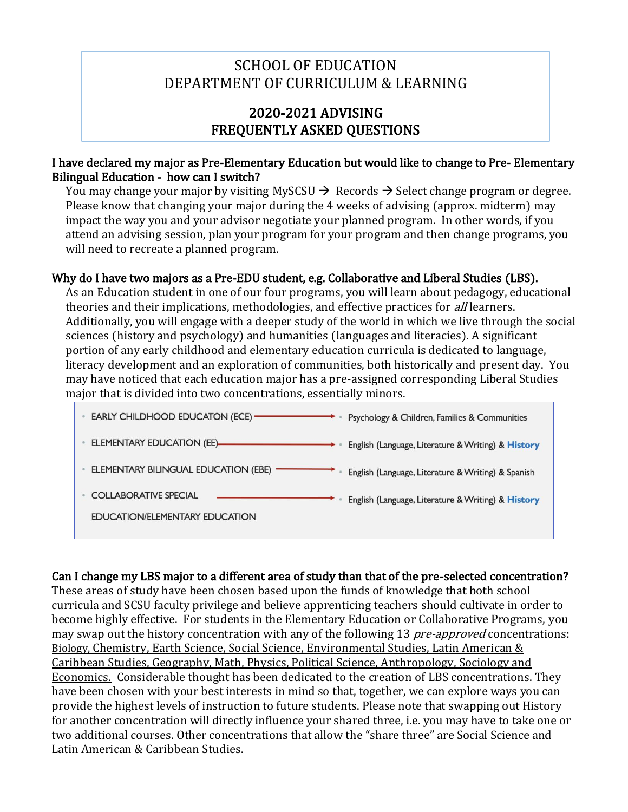# SCHOOL OF EDUCATION DEPARTMENT OF CURRICULUM & LEARNING

## 2020-2021 ADVISING FREQUENTLY ASKED QUESTIONS

#### I have declared my major as Pre-Elementary Education but would like to change to Pre- Elementary Bilingual Education - how can I switch?

You may change your major by visiting MySCSU  $\rightarrow$  Records  $\rightarrow$  Select change program or degree. Please know that changing your major during the 4 weeks of advising (approx. midterm) may impact the way you and your advisor negotiate your planned program. In other words, if you attend an advising session, plan your program for your program and then change programs, you will need to recreate a planned program.

### Why do I have two majors as a Pre-EDU student, e.g. Collaborative and Liberal Studies (LBS).

As an Education student in one of our four programs, you will learn about pedagogy, educational theories and their implications, methodologies, and effective practices for *all* learners. Additionally, you will engage with a deeper study of the world in which we live through the social sciences (history and psychology) and humanities (languages and literacies). A significant portion of any early childhood and elementary education curricula is dedicated to language, literacy development and an exploration of communities, both historically and present day. You may have noticed that each education major has a pre-assigned corresponding Liberal Studies major that is divided into two concentrations, essentially minors.

| EARLY CHILDHOOD EDUCATON (ECE) ————<br>Psychology & Children, Families & Communities       |  |
|--------------------------------------------------------------------------------------------|--|
| English (Language, Literature & Writing) & History                                         |  |
| ELEMENTARY BILINGUAL EDUCATION (EBE)<br>English (Language, Literature & Writing) & Spanish |  |
| <b>COLLABORATIVE SPECIAL</b><br>English (Language, Literature & Writing) & History         |  |
| EDUCATION/ELEMENTARY EDUCATION                                                             |  |

#### Can I change my LBS major to a different area of study than that of the pre-selected concentration?

These areas of study have been chosen based upon the funds of knowledge that both school curricula and SCSU faculty privilege and believe apprenticing teachers should cultivate in order to become highly effective. For students in the Elementary Education or Collaborative Programs, you may swap out the history concentration with any of the following 13 pre-approved concentrations: Biology, Chemistry, Earth Science, Social Science, Environmental Studies, Latin American & Caribbean Studies, Geography, Math, Physics, Political Science, Anthropology, Sociology and Economics. Considerable thought has been dedicated to the creation of LBS concentrations. They have been chosen with your best interests in mind so that, together, we can explore ways you can provide the highest levels of instruction to future students. Please note that swapping out History for another concentration will directly influence your shared three, i.e. you may have to take one or two additional courses. Other concentrations that allow the "share three" are Social Science and Latin American & Caribbean Studies.